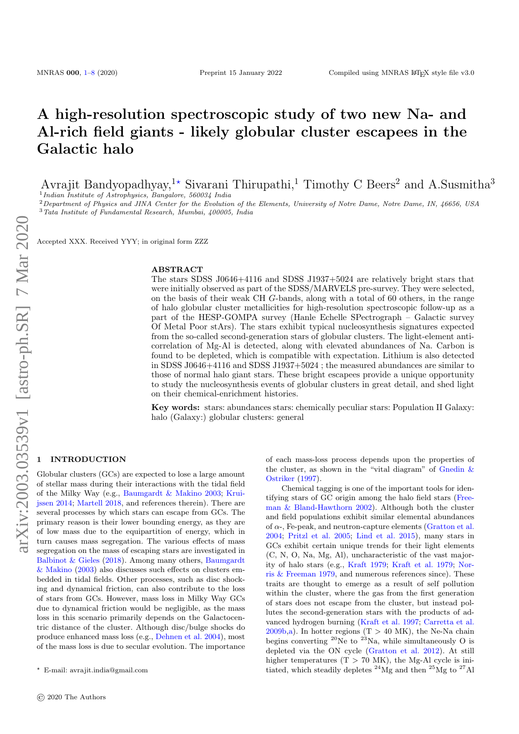# A high-resolution spectroscopic study of two new Na- and Al-rich field giants - likely globular cluster escapees in the Galactic halo

Avrajit Bandyopadhyay,<sup>1\*</sup> Sivarani Thirupathi,<sup>1</sup> Timothy C Beers<sup>2</sup> and A.Susmitha<sup>3</sup>

<sup>1</sup> Indian Institute of Astrophysics, Bangalore, 560034 India <sup>2</sup> Department of Physics and JINA Center for the Evolution of the Elements, University of Notre Dame, Notre Dame, IN, 46656, USA <sup>3</sup>Tata Institute of Fundamental Research, Mumbai, 400005, India

Accepted XXX. Received YYY; in original form ZZZ

#### ABSTRACT

The stars SDSS J0646+4116 and SDSS J1937+5024 are relatively bright stars that were initially observed as part of the SDSS/MARVELS pre-survey. They were selected, on the basis of their weak CH G-bands, along with a total of 60 others, in the range of halo globular cluster metallicities for high-resolution spectroscopic follow-up as a part of the HESP-GOMPA survey (Hanle Echelle SPectrograph – Galactic survey Of Metal Poor stArs). The stars exhibit typical nucleosynthesis signatures expected from the so-called second-generation stars of globular clusters. The light-element anticorrelation of Mg-Al is detected, along with elevated abundances of Na. Carbon is found to be depleted, which is compatible with expectation. Lithium is also detected in SDSS J0646+4116 and SDSS J1937+5024 ; the measured abundances are similar to those of normal halo giant stars. These bright escapees provide a unique opportunity to study the nucleosynthesis events of globular clusters in great detail, and shed light on their chemical-enrichment histories.

Key words: stars: abundances stars: chemically peculiar stars: Population II Galaxy: halo (Galaxy:) globular clusters: general

## <span id="page-0-0"></span>**INTRODUCTION**

Globular clusters (GCs) are expected to lose a large amount of stellar mass during their interactions with the tidal field of the Milky Way (e.g., [Baumgardt & Makino](#page-7-0) [2003;](#page-7-0) [Krui](#page-7-1)[jssen](#page-7-1) [2014;](#page-7-1) [Martell](#page-7-2) [2018,](#page-7-2) and references therein). There are several processes by which stars can escape from GCs. The primary reason is their lower bounding energy, as they are of low mass due to the equipartition of energy, which in turn causes mass segregation. The various effects of mass segregation on the mass of escaping stars are investigated in [Balbinot & Gieles](#page-7-3) [\(2018\)](#page-7-3). Among many others, [Baumgardt](#page-7-0) [& Makino](#page-7-0) [\(2003\)](#page-7-0) also discusses such effects on clusters embedded in tidal fields. Other processes, such as disc shocking and dynamical friction, can also contribute to the loss of stars from GCs. However, mass loss in Milky Way GCs due to dynamical friction would be negligible, as the mass loss in this scenario primarily depends on the Galactocentric distance of the cluster. Although disc/bulge shocks do produce enhanced mass loss (e.g., [Dehnen et al.](#page-7-4) [2004\)](#page-7-4), most of the mass loss is due to secular evolution. The importance of each mass-loss process depends upon the properties of the cluster, as shown in the "vital diagram" of [Gnedin &](#page-7-5) [Ostriker](#page-7-5) [\(1997\)](#page-7-5).

Chemical tagging is one of the important tools for identifying stars of GC origin among the halo field stars [\(Free](#page-7-6)[man & Bland-Hawthorn](#page-7-6) [2002\)](#page-7-6). Although both the cluster and field populations exhibit similar elemental abundances of  $\alpha$ -, Fe-peak, and neutron-capture elements [\(Gratton et al.](#page-7-7) [2004;](#page-7-7) [Pritzl et al.](#page-7-8) [2005;](#page-7-8) [Lind et al.](#page-7-9) [2015\)](#page-7-9), many stars in GCs exhibit certain unique trends for their light elements (C, N, O, Na, Mg, Al), uncharacteristic of the vast majority of halo stars (e.g., [Kraft](#page-7-10) [1979;](#page-7-10) [Kraft et al.](#page-7-11) [1979;](#page-7-11) [Nor](#page-7-12)[ris & Freeman](#page-7-12) [1979,](#page-7-12) and numerous references since). These traits are thought to emerge as a result of self pollution within the cluster, where the gas from the first generation of stars does not escape from the cluster, but instead pollutes the second-generation stars with the products of advanced hydrogen burning [\(Kraft et al.](#page-7-13) [1997;](#page-7-13) [Carretta et al.](#page-7-14)  $2009b,a$  $2009b,a$ . In hotter regions (T > 40 MK), the Ne-Na chain begins converting  $^{20}$ Ne to  $^{23}$ Na, while simultaneously O is depleted via the ON cycle [\(Gratton et al.](#page-7-16) [2012\)](#page-7-16). At still higher temperatures  $(T > 70$  MK), the Mg-Al cycle is initiated, which steadily depletes  $^{24}Mg$  and then  $^{25}Mg$  to  $^{27}Al$ 

<sup>?</sup> E-mail: avrajit.india@gmail.com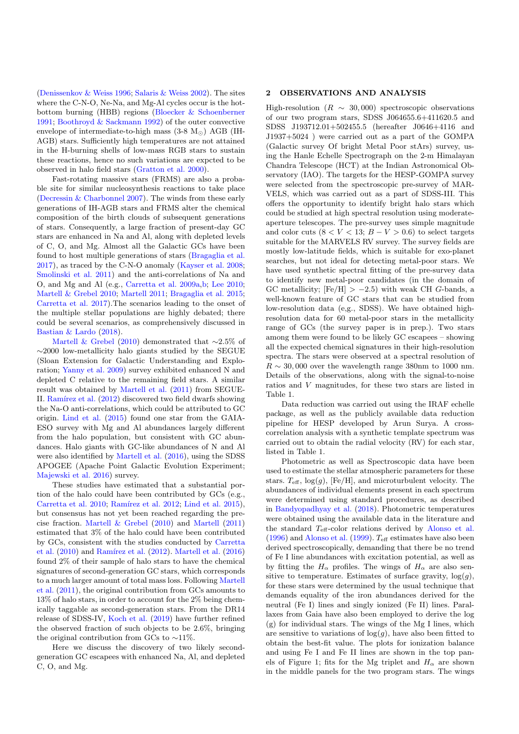[\(Denissenkov & Weiss](#page-7-17) [1996;](#page-7-17) [Salaris & Weiss](#page-7-18) [2002\)](#page-7-18). The sites where the C-N-O, Ne-Na, and Mg-Al cycles occur is the hotbottom burning (HBB) regions [\(Bloecker & Schoenberner](#page-7-19) [1991;](#page-7-19) [Boothroyd & Sackmann](#page-7-20) [1992\)](#page-7-20) of the outer convective envelope of intermediate-to-high mass  $(3-8 M_{\odot})$  AGB (IH-AGB) stars. Sufficiently high temperatures are not attained in the H-burning shells of low-mass RGB stars to sustain these reactions, hence no such variations are expcted to be observed in halo field stars [\(Gratton et al.](#page-7-21) [2000\)](#page-7-21).

Fast-rotating massive stars (FRMS) are also a probable site for similar nucleosynthesis reactions to take place [\(Decressin & Charbonnel](#page-7-22) [2007\)](#page-7-22). The winds from these early generations of IH-AGB stars and FRMS alter the chemical composition of the birth clouds of subsequent generations of stars. Consequently, a large fraction of present-day GC stars are enhanced in Na and Al, along with depleted levels of C, O, and Mg. Almost all the Galactic GCs have been found to host multiple generations of stars [\(Bragaglia et al.](#page-7-23) [2017\)](#page-7-23), as traced by the C-N-O anomaly [\(Kayser et al.](#page-7-24) [2008;](#page-7-24) [Smolinski et al.](#page-7-25) [2011\)](#page-7-25) and the anti-correlations of Na and O, and Mg and Al (e.g., [Carretta et al.](#page-7-15) [2009a,](#page-7-15)[b;](#page-7-14) [Lee](#page-7-26) [2010;](#page-7-26) [Martell & Grebel](#page-7-27) [2010;](#page-7-27) [Martell](#page-7-28) [2011;](#page-7-28) [Bragaglia et al.](#page-7-29) [2015;](#page-7-29) [Carretta et al.](#page-7-30) [2017\)](#page-7-30).The scenarios leading to the onset of the multiple stellar populations are highly debated; there could be several scenarios, as comprehensively discussed in [Bastian & Lardo](#page-7-31) [\(2018\)](#page-7-31).

[Martell & Grebel](#page-7-27) [\(2010\)](#page-7-27) demonstrated that ∼2.5% of ∼2000 low-metallicity halo giants studied by the SEGUE (Sloan Extension for Galactic Understanding and Exploration; [Yanny et al.](#page-7-32) [2009\)](#page-7-32) survey exhibited enhanced N and depleted C relative to the remaining field stars. A similar result was obtained by [Martell et al.](#page-7-33) [\(2011\)](#page-7-33) from SEGUE-II. Ramírez et al.  $(2012)$  discovered two field dwarfs showing the Na-O anti-correlations, which could be attributed to GC origin. [Lind et al.](#page-7-9) [\(2015\)](#page-7-9) found one star from the GAIA-ESO survey with Mg and Al abundances largely different from the halo population, but consistent with GC abundances. Halo giants with GC-like abundances of N and Al were also identified by [Martell et al.](#page-7-35) [\(2016\)](#page-7-35), using the SDSS APOGEE (Apache Point Galactic Evolution Experiment; [Majewski et al.](#page-7-36) [2016\)](#page-7-36) survey.

These studies have estimated that a substantial portion of the halo could have been contributed by GCs (e.g., [Carretta et al.](#page-7-37) [2010;](#page-7-37) Ramírez et al. [2012;](#page-7-34) [Lind et al.](#page-7-9) [2015\)](#page-7-9), but consensus has not yet been reached regarding the precise fraction. [Martell & Grebel](#page-7-27) [\(2010\)](#page-7-27) and [Martell](#page-7-28) [\(2011\)](#page-7-28) estimated that 3% of the halo could have been contributed by GCs, consistent with the studies conducted by [Carretta](#page-7-37) [et al.](#page-7-37)  $(2010)$  and Ramírez et al.  $(2012)$ . [Martell et al.](#page-7-35)  $(2016)$ found 2% of their sample of halo stars to have the chemical signatures of second-generation GC stars, which corresponds to a much larger amount of total mass loss. Following [Martell](#page-7-33) [et al.](#page-7-33) [\(2011\)](#page-7-33), the original contribution from GCs amounts to 13% of halo stars, in order to account for the 2% being chemically taggable as second-generation stars. From the DR14 release of SDSS-IV, [Koch et al.](#page-7-38) [\(2019\)](#page-7-38) have further refined the observed fraction of such objects to be 2.6%, bringing the original contribution from GCs to ∼11%.

Here we discuss the discovery of two likely secondgeneration GC escapees with enhanced Na, Al, and depleted C, O, and Mg.

# 2 OBSERVATIONS AND ANALYSIS

High-resolution ( $R \sim 30,000$ ) spectroscopic observations of our two program stars, SDSS J064655.6+411620.5 and SDSS J193712.01+502455.5 (hereafter J0646+4116 and J1937+5024 ) were carried out as a part of the GOMPA (Galactic survey Of bright Metal Poor stArs) survey, using the Hanle Echelle Spectrograph on the 2-m Himalayan Chandra Telescope (HCT) at the Indian Astronomical Observatory (IAO). The targets for the HESP-GOMPA survey were selected from the spectroscopic pre-survey of MAR-VELS, which was carried out as a part of SDSS-III. This offers the opportunity to identify bright halo stars which could be studied at high spectral resolution using moderateaperture telescopes. The pre-survey uses simple magnitude and color cuts  $(8 < V < 13; B - V > 0.6)$  to select targets suitable for the MARVELS RV survey. The survey fields are mostly low-latitude fields, which is suitable for exo-planet searches, but not ideal for detecting metal-poor stars. We have used synthetic spectral fitting of the pre-survey data to identify new metal-poor candidates (in the domain of GC metallicity;  $[Fe/H] > -2.5$ ) with weak CH G-bands, a well-known feature of GC stars that can be studied from low-resolution data (e,g., SDSS). We have obtained highresolution data for 60 metal-poor stars in the metallicity range of GCs (the survey paper is in prep.). Two stars among them were found to be likely GC escapees – showing all the expected chemical signatures in their high-resolution spectra. The stars were observed at a spectral resolution of  $R \sim 30,000$  over the wavelength range 380nm to 1000 nm. Details of the observations, along with the signal-to-noise ratios and V magnitudes, for these two stars are listed in Table 1.

Data reduction was carried out using the IRAF echelle package, as well as the publicly available data reduction pipeline for HESP developed by Arun Surya. A crosscorrelation analysis with a synthetic template spectrum was carried out to obtain the radial velocity (RV) for each star, listed in Table 1.

Photometric as well as Spectroscopic data have been used to estimate the stellar atmospheric parameters for these stars.  $T_{\text{eff}}$ ,  $\log(g)$ , [Fe/H], and microturbulent velocity. The abundances of individual elements present in each spectrum were determined using standard procedures, as described in [Bandyopadhyay et al.](#page-7-39) [\(2018\)](#page-7-39). Photometric temperatures were obtained using the available data in the literature and the standard  $T_{\text{eff}}$ -color relations derived by [Alonso et al.](#page-7-40) [\(1996\)](#page-7-40) and [Alonso et al.](#page-7-41) [\(1999\)](#page-7-41).  $T_{\text{eff}}$  estimates have also been derived spectroscopically, demanding that there be no trend of Fe I line abundances with excitation potential, as well as by fitting the  $H_{\alpha}$  profiles. The wings of  $H_{\alpha}$  are also sensitive to temperature. Estimates of surface gravity,  $log(g)$ , for these stars were determined by the usual technique that demands equality of the iron abundances derived for the neutral (Fe I) lines and singly ionized (Fe II) lines. Parallaxes from Gaia have also been employed to derive the log (g) for individual stars. The wings of the Mg I lines, which are sensitive to variations of  $log(q)$ , have also been fitted to obtain the best-fit value. The plots for ionization balance and using Fe I and Fe II lines are shown in the top panels of Figure 1; fits for the Mg triplet and  $H_{\alpha}$  are shown in the middle panels for the two program stars. The wings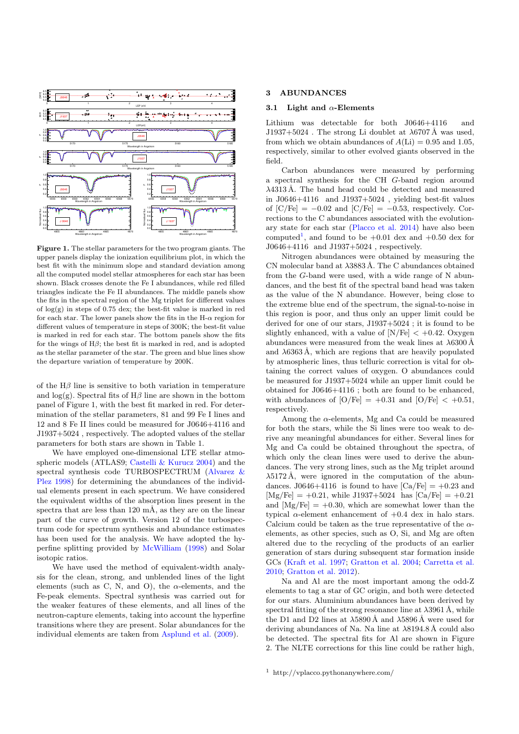

Figure 1. The stellar parameters for the two program giants. The upper panels display the ionization equilibrium plot, in which the best fit with the minimum slope and standard deviation among all the computed model stellar atmospheres for each star has been shown. Black crosses denote the Fe I abundances, while red filled triangles indicate the Fe II abundances. The middle panels show the fits in the spectral region of the Mg triplet for different values of log(g) in steps of 0.75 dex; the best-fit value is marked in red for each star. The lower panels show the fits in the H- $\alpha$  region for different values of temperature in steps of 300K; the best-fit value is marked in red for each star. The bottom panels show the fits for the wings of  $H\beta$ ; the best fit is marked in red, and is adopted as the stellar parameter of the star. The green and blue lines show the departure variation of temperature by 200K.

of the  $H\beta$  line is sensitive to both variation in temperature and  $log(g)$ . Spectral fits of H $\beta$  line are shown in the bottom panel of Figure 1, with the best fit marked in red. For determination of the stellar parameters, 81 and 99 Fe I lines and 12 and 8 Fe II lines could be measured for J0646+4116 and J1937+5024 , respectively. The adopted values of the stellar parameters for both stars are shown in Table 1.

We have employed one-dimensional LTE stellar atmospheric models (ATLAS9; [Castelli & Kurucz](#page-7-42) [2004\)](#page-7-42) and the spectral synthesis code TURBOSPECTRUM [\(Alvarez &](#page-7-43) [Plez](#page-7-43) [1998\)](#page-7-43) for determining the abundances of the individual elements present in each spectrum. We have considered the equivalent widths of the absorption lines present in the spectra that are less than  $120 \text{ mA}$ , as they are on the linear part of the curve of growth. Version 12 of the turbospectrum code for spectrum synthesis and abundance estimates has been used for the analysis. We have adopted the hyperfine splitting provided by [McWilliam](#page-7-44) [\(1998\)](#page-7-44) and Solar isotopic ratios.

We have used the method of equivalent-width analysis for the clean, strong, and unblended lines of the light elements (such as C, N, and O), the  $\alpha$ -elements, and the Fe-peak elements. Spectral synthesis was carried out for the weaker features of these elements, and all lines of the neutron-capture elements, taking into account the hyperfine transitions where they are present. Solar abundances for the individual elements are taken from [Asplund et al.](#page-7-45) [\(2009\)](#page-7-45).

#### 3 ABUNDANCES

#### 3.1 Light and  $\alpha$ -Elements

Lithium was detectable for both J0646+4116 and  $J1937+5024$ . The strong Li doublet at  $\lambda$ 6707 Å was used. from which we obtain abundances of  $A(Li) = 0.95$  and 1.05, respectively, similar to other evolved giants observed in the field.

Carbon abundances were measured by performing a spectral synthesis for the CH G-band region around  $\lambda$ 4313 Å. The band head could be detected and measured in J0646+4116 and J1937+5024 , yielding best-fit values of  $[C/Fe] = -0.02$  and  $[C/Fe] = -0.53$ , respectively. Corrections to the C abundances associated with the evolutionary state for each star [\(Placco et al.](#page-7-46) [2014\)](#page-7-46) have also been computed<sup>[1](#page-2-0)</sup>, and found to be  $+0.01$  dex and  $+0.50$  dex for J0646+4116 and J1937+5024 , respectively.

Nitrogen abundances were obtained by measuring the CN molecular band at  $\lambda$ 3883 Å. The C abundances obtained from the G-band were used, with a wide range of N abundances, and the best fit of the spectral band head was taken as the value of the N abundance. However, being close to the extreme blue end of the spectrum, the signal-to-noise in this region is poor, and thus only an upper limit could be derived for one of our stars, J1937+5024 ; it is found to be slightly enhanced, with a value of  $N/Fe$   $< +0.42$ . Oxygen abundances were measured from the weak lines at  $\lambda$ 6300 Å and  $\lambda$ 6363 Å, which are regions that are heavily populated by atmospheric lines, thus telluric correction is vital for obtaining the correct values of oxygen. O abundances could be measured for J1937+5024 while an upper limit could be obtained for J0646+4116 ; both are found to be enhanced, with abundances of  $[O/Fe] = +0.31$  and  $[O/Fe] < +0.51$ , respectively.

Among the  $\alpha$ -elements, Mg and Ca could be measured for both the stars, while the Si lines were too weak to derive any meaningful abundances for either. Several lines for Mg and Ca could be obtained throughout the spectra, of which only the clean lines were used to derive the abundances. The very strong lines, such as the Mg triplet around  $\lambda$ 5172 Å, were ignored in the computation of the abundances. J0646+4116 is found to have  $[Ca/Fe] = +0.23$  and  $[Mg/Fe] = +0.21$ , while J1937+5024 has  $[Ca/Fe] = +0.21$ and  $[Mg/Fe] = +0.30$ , which are somewhat lower than the typical  $\alpha$ -element enhancement of  $+0.4$  dex in halo stars. Calcium could be taken as the true representative of the  $\alpha$ elements, as other species, such as O, Si, and Mg are often altered due to the recycling of the products of an earlier generation of stars during subsequent star formation inside GCs [\(Kraft et al.](#page-7-13) [1997;](#page-7-13) [Gratton et al.](#page-7-7) [2004;](#page-7-7) [Carretta et al.](#page-7-37) [2010;](#page-7-37) [Gratton et al.](#page-7-16) [2012\)](#page-7-16).

Na and Al are the most important among the odd-Z elements to tag a star of GC origin, and both were detected for our stars. Aluminium abundances have been derived by spectral fitting of the strong resonance line at  $\lambda$ 3961 Å, while the D1 and D2 lines at  $\lambda$ 5890 Å and  $\lambda$ 5896 Å were used for deriving abundances of Na. Na line at  $\lambda$ 8194.8 Å could also be detected. The spectral fits for Al are shown in Figure 2. The NLTE corrections for this line could be rather high,

<span id="page-2-0"></span><sup>1</sup> http://vplacco.pythonanywhere.com/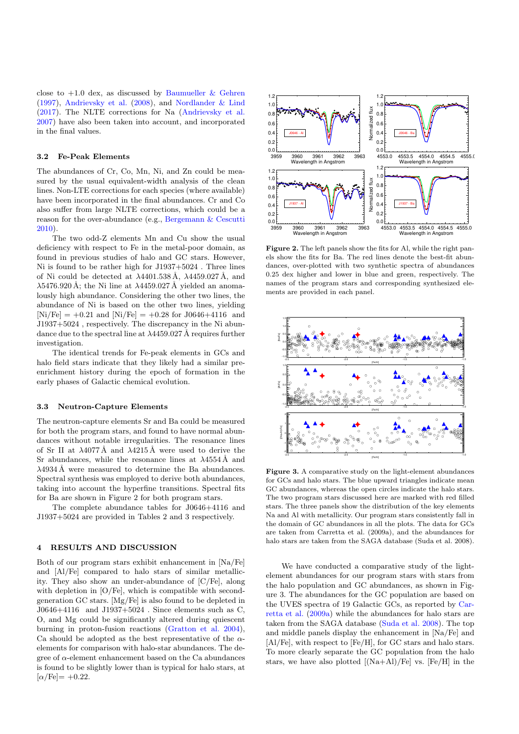close to  $+1.0$  dex, as discussed by [Baumueller & Gehren](#page-7-47) [\(1997\)](#page-7-47), [Andrievsky et al.](#page-7-48) [\(2008\)](#page-7-48), and [Nordlander & Lind](#page-7-49) [\(2017\)](#page-7-49). The NLTE corrections for Na [\(Andrievsky et al.](#page-7-50) [2007\)](#page-7-50) have also been taken into account, and incorporated in the final values.

#### 3.2 Fe-Peak Elements

The abundances of Cr, Co, Mn, Ni, and Zn could be measured by the usual equivalent-width analysis of the clean lines. Non-LTE corrections for each species (where available) have been incorporated in the final abundances. Cr and Co also suffer from large NLTE corrections, which could be a reason for the over-abundance (e.g., [Bergemann & Cescutti](#page-7-51) [2010\)](#page-7-51).

The two odd-Z elements Mn and Cu show the usual deficiency with respect to Fe in the metal-poor domain, as found in previous studies of halo and GC stars. However, Ni is found to be rather high for J1937+5024 . Three lines of Ni could be detected at  $\lambda$ 4401.538 Å,  $\lambda$ 4459.027 Å, and  $\lambda$ 5476.920 Å; the Ni line at  $\lambda$ 4459.027 Å yielded an anomalously high abundance. Considering the other two lines, the abundance of Ni is based on the other two lines, yielding  $[Ni/Fe] = +0.21$  and  $[Ni/Fe] = +0.28$  for J0646+4116 and J1937+5024 , respectively. The discrepancy in the Ni abundance due to the spectral line at  $\lambda$ 4459.027 Å requires further investigation.

The identical trends for Fe-peak elements in GCs and halo field stars indicate that they likely had a similar preenrichment history during the epoch of formation in the early phases of Galactic chemical evolution.

#### 3.3 Neutron-Capture Elements

The neutron-capture elements Sr and Ba could be measured for both the program stars, and found to have normal abundances without notable irregularities. The resonance lines of Sr II at  $\lambda$ 4077 Å and  $\lambda$ 4215 Å were used to derive the Sr abundances, while the resonance lines at  $\lambda$ 4554 Å and  $\lambda$ 4934 Å were measured to determine the Ba abundances. Spectral synthesis was employed to derive both abundances, taking into account the hyperfine transitions. Spectral fits for Ba are shown in Figure 2 for both program stars.

The complete abundance tables for J0646+4116 and J1937+5024 are provided in Tables 2 and 3 respectively.

## 4 RESULTS AND DISCUSSION

Both of our program stars exhibit enhancement in [Na/Fe] and [Al/Fe] compared to halo stars of similar metallicity. They also show an under-abundance of [C/Fe], along with depletion in  $[O/Fe]$ , which is compatible with secondgeneration GC stars. [Mg/Fe] is also found to be depleted in J0646+4116 and J1937+5024 . Since elements such as C, O, and Mg could be significantly altered during quiescent burning in proton-fusion reactions [\(Gratton et al.](#page-7-7) [2004\)](#page-7-7), Ca should be adopted as the best representative of the  $\alpha$ elements for comparison with halo-star abundances. The degree of  $\alpha$ -element enhancement based on the Ca abundances is found to be slightly lower than is typical for halo stars, at  $[\alpha/\text{Fe}] = +0.22$ .



Figure 2. The left panels show the fits for Al, while the right panels show the fits for Ba. The red lines denote the best-fit abundances, over-plotted with two synthetic spectra of abundances 0.25 dex higher and lower in blue and green, respectively. The names of the program stars and corresponding synthesized elements are provided in each panel.



Figure 3. A comparative study on the light-element abundances for GCs and halo stars. The blue upward triangles indicate mean GC abundances, whereas the open circles indicate the halo stars. The two program stars discussed here are marked with red filled stars. The three panels show the distribution of the key elements Na and Al with metallicity. Our program stars consistently fall in the domain of GC abundances in all the plots. The data for GCs are taken from Carretta et al. (2009a), and the abundances for halo stars are taken from the SAGA database (Suda et al. 2008).

We have conducted a comparative study of the lightelement abundances for our program stars with stars from the halo population and GC abundances, as shown in Figure 3. The abundances for the GC population are based on the UVES spectra of 19 Galactic GCs, as reported by [Car](#page-7-15)[retta et al.](#page-7-15) [\(2009a\)](#page-7-15) while the abundances for halo stars are taken from the SAGA database [\(Suda et al.](#page-7-52) [2008\)](#page-7-52). The top and middle panels display the enhancement in [Na/Fe] and [Al/Fe], with respect to [Fe/H], for GC stars and halo stars. To more clearly separate the GC population from the halo stars, we have also plotted  $[(Na+Al)/Fe]$  vs.  $[Fe/H]$  in the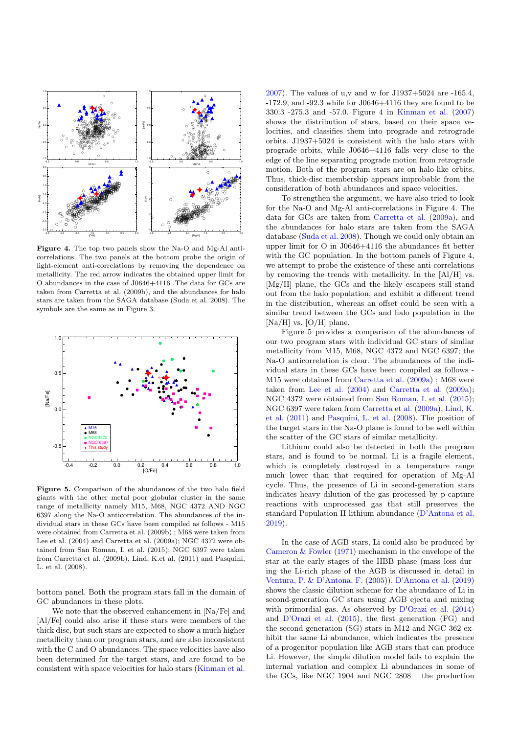

Figure 4. The top two panels show the Na-O and Mg-Al anticorrelations. The two panels at the bottom probe the origin of light-element anti-correlations by removing the dependence on metallicity. The red arrow indicates the obtained upper limit for O abundances in the case of J0646+4116 .The data for GCs are taken from Carretta et al. (2009b), and the abundances for halo stars are taken from the SAGA database (Suda et al. 2008). The symbols are the same as in Figure 3.



Figure 5. Comparison of the abundances of the two halo field giants with the other metal poor globular cluster in the same range of metallicity namely M15, M68, NGC 4372 AND NGC 6397 along the Na-O anticorrelation. The abundances of the individual stars in these GCs have been compiled as follows - M15 were obtained from Carretta et al. (2009b) ; M68 were taken from Lee et al. (2004) and Carretta et al. (2009a); NGC 4372 were obtained from San Roman, I. et al. (2015); NGC 6397 were taken from Carretta et al. (2009b), Lind, K.et al. (2011) and Pasquini, L. et al. (2008).

bottom panel. Both the program stars fall in the domain of GC abundances in these plots.

We note that the observed enhancement in [Na/Fe] and [Al/Fe] could also arise if these stars were members of the thick disc, but such stars are expected to show a much higher metallicity than our program stars, and are also inconsistent with the C and O abundances. The space velocities have also been determined for the target stars, and are found to be consistent with space velocities for halo stars [\(Kinman et al.](#page-7-53)

[2007\)](#page-7-53). The values of u,v and w for J1937+5024 are -165.4, -172.9, and -92.3 while for J0646+4116 they are found to be 330.3 -275.3 and -57.0. Figure 4 in [Kinman et al.](#page-7-53) [\(2007\)](#page-7-53) shows the distribution of stars, based on their space velocities, and classifies them into prograde and retrograde orbits. J1937+5024 is consistent with the halo stars with prograde orbits, while J0646+4116 falls very close to the edge of the line separating prograde motion from retrograde motion. Both of the program stars are on halo-like orbits. Thus, thick-disc membership appears improbable from the consideration of both abundances and space velocities.

To strengthen the argument, we have also tried to look for the Na-O and Mg-Al anti-correlations in Figure 4. The data for GCs are taken from [Carretta et al.](#page-7-15) [\(2009a\)](#page-7-15), and the abundances for halo stars are taken from the SAGA database [\(Suda et al.](#page-7-52) [2008\)](#page-7-52). Though we could only obtain an upper limit for O in J0646+4116 the abundances fit better with the GC population. In the bottom panels of Figure 4, we attempt to probe the existence of these anti-correlations by removing the trends with metallicity. In the [Al/H] vs. [Mg/H] plane, the GCs and the likely escapees still stand out from the halo population, and exhibit a different trend in the distribution, whereas an offset could be seen with a similar trend between the GCs and halo population in the [Na/H] vs. [O/H] plane.

Figure 5 provides a comparison of the abundances of our two program stars with individual GC stars of similar metallicity from M15, M68, NGC 4372 and NGC 6397; the Na-O anticorrelation is clear. The abundances of the individual stars in these GCs have been compiled as follows - M15 were obtained from [Carretta et al.](#page-7-15) [\(2009a\)](#page-7-15) ; M68 were taken from [Lee et al.](#page-7-54) [\(2004\)](#page-7-54) and [Carretta et al.](#page-7-15) [\(2009a\)](#page-7-15); NGC 4372 were obtained from [San Roman, I. et al.](#page-7-55) [\(2015\)](#page-7-55); NGC 6397 were taken from [Carretta et al.](#page-7-15) [\(2009a\)](#page-7-15), [Lind, K.](#page-7-56) [et al.](#page-7-56) [\(2011\)](#page-7-56) and [Pasquini, L. et al.](#page-7-57) [\(2008\)](#page-7-57). The position of the target stars in the Na-O plane is found to be well within the scatter of the GC stars of similar metallicity.

Lithium could also be detected in both the program stars, and is found to be normal. Li is a fragile element, which is completely destroyed in a temperature range much lower than that required for operation of Mg-Al cycle. Thus, the presence of Li in second-generation stars indicates heavy dilution of the gas processed by p-capture reactions with unprocessed gas that still preserves the standard Population II lithium abundance [\(D'Antona et al.](#page-7-58) [2019\)](#page-7-58).

In the case of AGB stars, Li could also be produced by Cameron  $&$  Fowler [\(1971\)](#page-7-59) mechanism in the envelope of the star at the early stages of the HBB phase (mass loss during the Li-rich phase of the AGB is discussed in detail in [Ventura, P. & D'Antona, F.](#page-7-60) [\(2005\)](#page-7-60)). [D'Antona et al.](#page-7-58) [\(2019\)](#page-7-58) shows the classic dilution scheme for the abundance of Li in second-generation GC stars using AGB ejecta and mixing with primordial gas. As observed by D'[Orazi et al.](#page-7-61) [\(2014\)](#page-7-61) and [D'Orazi et al.](#page-7-62) [\(2015\)](#page-7-62), the first generation (FG) and the second generation (SG) stars in M12 and NGC 362 exhibit the same Li abundance, which indicates the presence of a progenitor population like AGB stars that can produce Li. However, the simple dilution model fails to explain the internal variation and complex Li abundances in some of the GCs, like NGC 1904 and NGC 2808 – the production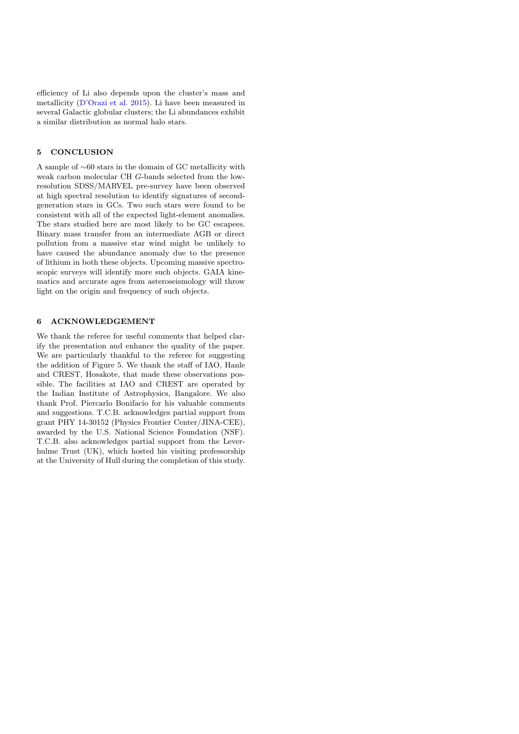efficiency of Li also depends upon the cluster's mass and metallicity [\(D'Orazi et al.](#page-7-62) [2015\)](#page-7-62). Li have been measured in several Galactic globular clusters; the Li abundances exhibit a similar distribution as normal halo stars.

# 5 CONCLUSION

A sample of ∼60 stars in the domain of GC metallicity with weak carbon molecular CH G-bands selected from the lowresolution SDSS/MARVEL pre-survey have been observed at high spectral resolution to identify signatures of secondgeneration stars in GCs. Two such stars were found to be consistent with all of the expected light-element anomalies. The stars studied here are most likely to be GC escapees. Binary mass transfer from an intermediate AGB or direct pollution from a massive star wind might be unlikely to have caused the abundance anomaly due to the presence of lithium in both these objects. Upcoming massive spectroscopic surveys will identify more such objects. GAIA kinematics and accurate ages from asteroseismology will throw light on the origin and frequency of such objects.

# 6 ACKNOWLEDGEMENT

We thank the referee for useful comments that helped clarify the presentation and enhance the quality of the paper. We are particularly thankful to the referee for suggesting the addition of Figure 5. We thank the staff of IAO, Hanle and CREST, Hosakote, that made these observations possible. The facilities at IAO and CREST are operated by the Indian Institute of Astrophysics, Bangalore. We also thank Prof. Piercarlo Bonifacio for his valuable comments and suggestions. T.C.B. acknowledges partial support from grant PHY 14-30152 (Physics Frontier Center/JINA-CEE), awarded by the U.S. National Science Foundation (NSF). T.C.B. also acknowledges partial support from the Leverhulme Trust (UK), which hosted his visiting professorship at the University of Hull during the completion of this study.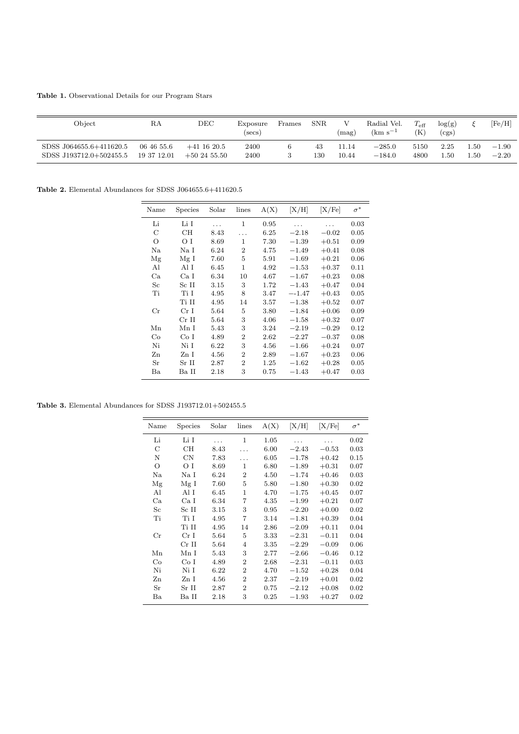Table 1. Observational Details for our Program Stars

| Object                  | RA          | DEC           | Exposure<br>(secs) | Frames | <b>SNR</b> | V<br>(mag) | Radial Vel.<br>$\rm (km \ s^{-1}$ | $T_{\rm eff}$<br>(K | log(g)<br>(cgs) |      | [Fe/H]  |
|-------------------------|-------------|---------------|--------------------|--------|------------|------------|-----------------------------------|---------------------|-----------------|------|---------|
| SDSS J064655.6+411620.5 | 06 46 55.6  | $+41$ 16 20.5 | 2400               |        | 43         | 11.14      | $-285.0$                          | 5150                | 2.25            | 1.50 | $-1.90$ |
| SDSS J193712.0+502455.5 | 19 37 12.01 | $+502455.50$  | 2400               |        | 130        | 10.44      | $-184.0$                          | 4800                | .50             | 1.50 | $-2.20$ |

Table 2. Elemental Abundances for SDSS J064655.6+411620.5

| Name        | <b>Species</b>  | Solar | lines          | A(X)     | [X/H]   | [X/Fe]  | $\sigma^*$ |
|-------------|-----------------|-------|----------------|----------|---------|---------|------------|
| Li          | Li I            |       | $\mathbf{1}$   | 0.95     |         |         | 0.03       |
| С           | CН              | 8.43  |                | 6.25     | $-2.18$ | $-0.02$ | 0.05       |
| О           | ΟI              | 8.69  | 1              | 7.30     | $-1.39$ | $+0.51$ | 0.09       |
| Na          | Na I            | 6.24  | $\overline{2}$ | 4.75     | $-1.49$ | $+0.41$ | 0.08       |
| Mg          | Mg I            | 7.60  | 5              | 5.91     | $-1.69$ | $+0.21$ | 0.06       |
| Al          | Al I            | 6.45  | 1              | 4.92     | $-1.53$ | $+0.37$ | 0.11       |
| Ca          | Ca I            | 6.34  | 10             | 4.67     | $-1.67$ | $+0.23$ | 0.08       |
| $_{\rm Sc}$ | Sc II           | 3.15  | 3              | 1.72     | $-1.43$ | $+0.47$ | 0.04       |
| Ti          | Ti I            | 4.95  | 8              | 3.47     | $-1.47$ | $+0.43$ | 0.05       |
|             | Ti II           | 4.95  | 14             | $3.57\,$ | $-1.38$ | $+0.52$ | 0.07       |
| $_{\rm Cr}$ | Cr <sub>I</sub> | 5.64  | 5              | 3.80     | $-1.84$ | $+0.06$ | 0.09       |
|             | $Cr$ II         | 5.64  | 3              | 4.06     | $-1.58$ | $+0.32$ | 0.07       |
| Mn          | Mn I            | 5.43  | 3              | 3.24     | $-2.19$ | $-0.29$ | 0.12       |
| Co          | Co I            | 4.89  | $\mathbf{2}$   | 2.62     | $-2.27$ | $-0.37$ | 0.08       |
| Ni          | Ni <sub>I</sub> | 6.22  | 3              | 4.56     | $-1.66$ | $+0.24$ | 0.07       |
| Zn          | Zn I            | 4.56  | $\overline{2}$ | 2.89     | $-1.67$ | $+0.23$ | 0.06       |
| Sr          | Sr II           | 2.87  | $\mathfrak{D}$ | 1.25     | $-1.62$ | $+0.28$ | 0.05       |
| Ba          | Ba II           | 2.18  | 3              | 0.75     | $-1.43$ | $+0.47$ | 0.03       |

<span id="page-6-0"></span>Table 3. Elemental Abundances for SDSS J193712.01+502455.5

| Name             | Species         | Solar | lines                       | A(X) | [X/H]   | [X/Fe]  | $\sigma^*$ |
|------------------|-----------------|-------|-----------------------------|------|---------|---------|------------|
| Li               | Li I            |       | $\mathbf{1}$                | 1.05 |         |         | 0.02       |
| C                | CН              | 8.43  | .                           | 6.00 | $-2.43$ | $-0.53$ | 0.03       |
| N                | CN              | 7.83  | .                           | 6.05 | $-1.78$ | $+0.42$ | 0.15       |
| $\circ$          | ΟI              | 8.69  | $\mathbf{1}$                | 6.80 | $-1.89$ | $+0.31$ | 0.07       |
| Na               | Na I            | 6.24  | $\overline{2}$              | 4.50 | $-1.74$ | $+0.46$ | 0.03       |
| Mg               | Mg I            | 7.60  | 5                           | 5.80 | $-1.80$ | $+0.30$ | 0.02       |
| Al               | Al I            | 6.45  | 1                           | 4.70 | $-1.75$ | $+0.45$ | 0.07       |
| Ca               | Ca I            | 6.34  | 7                           | 4.35 | $-1.99$ | $+0.21$ | 0.07       |
| $_{\mathrm{Sc}}$ | Sc II           | 3.15  | 3                           | 0.95 | $-2.20$ | $+0.00$ | 0.02       |
| Ti               | Ti I            | 4.95  | 7                           | 3.14 | $-1.81$ | $+0.39$ | 0.04       |
|                  | Ti H            | 4.95  | 14                          | 2.86 | $-2.09$ | $+0.11$ | 0.04       |
| $_{\rm Cr}$      | Cr <sub>I</sub> | 5.64  | 5                           | 3.33 | $-2.31$ | $-0.11$ | 0.04       |
|                  | $Cr$ II         | 5.64  | $\overline{4}$              | 3.35 | $-2.29$ | $-0.09$ | 0.06       |
| Mn               | Mn I            | 5.43  | 3                           | 2.77 | $-2.66$ | $-0.46$ | 0.12       |
| Co               | Co <sub>I</sub> | 4.89  | $\mathcal{D}_{\mathcal{L}}$ | 2.68 | $-2.31$ | $-0.11$ | 0.03       |
| Ni               | Ni I            | 6.22  | $\overline{2}$              | 4.70 | $-1.52$ | $+0.28$ | 0.04       |
| Zn               | Zn I            | 4.56  | $\overline{2}$              | 2.37 | $-2.19$ | $+0.01$ | 0.02       |
| Sr               | Sr II           | 2.87  | $\overline{2}$              | 0.75 | $-2.12$ | $+0.08$ | 0.02       |
| Ba               | Ba II           | 2.18  | 3                           | 0.25 | $-1.93$ | $+0.27$ | 0.02       |
|                  |                 |       |                             |      |         |         |            |